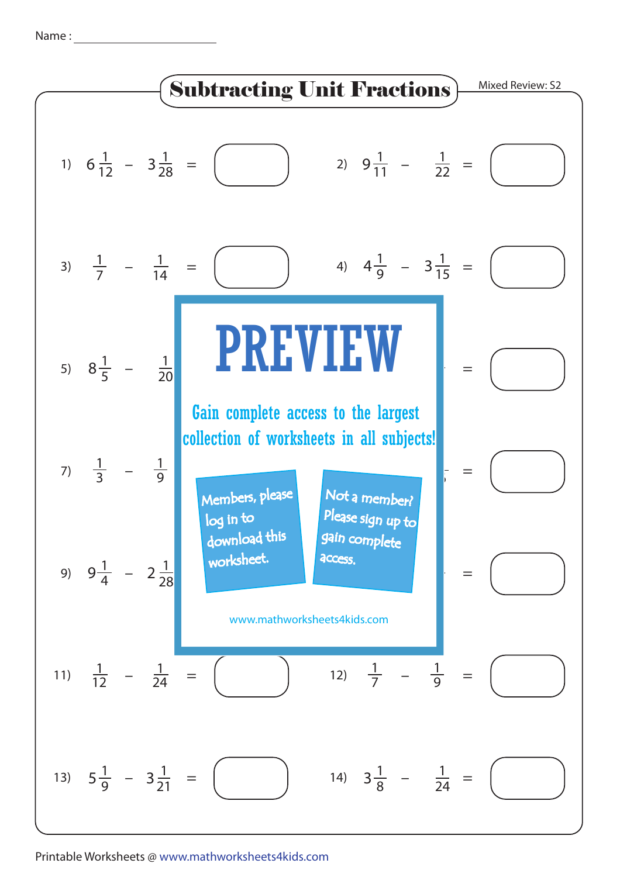